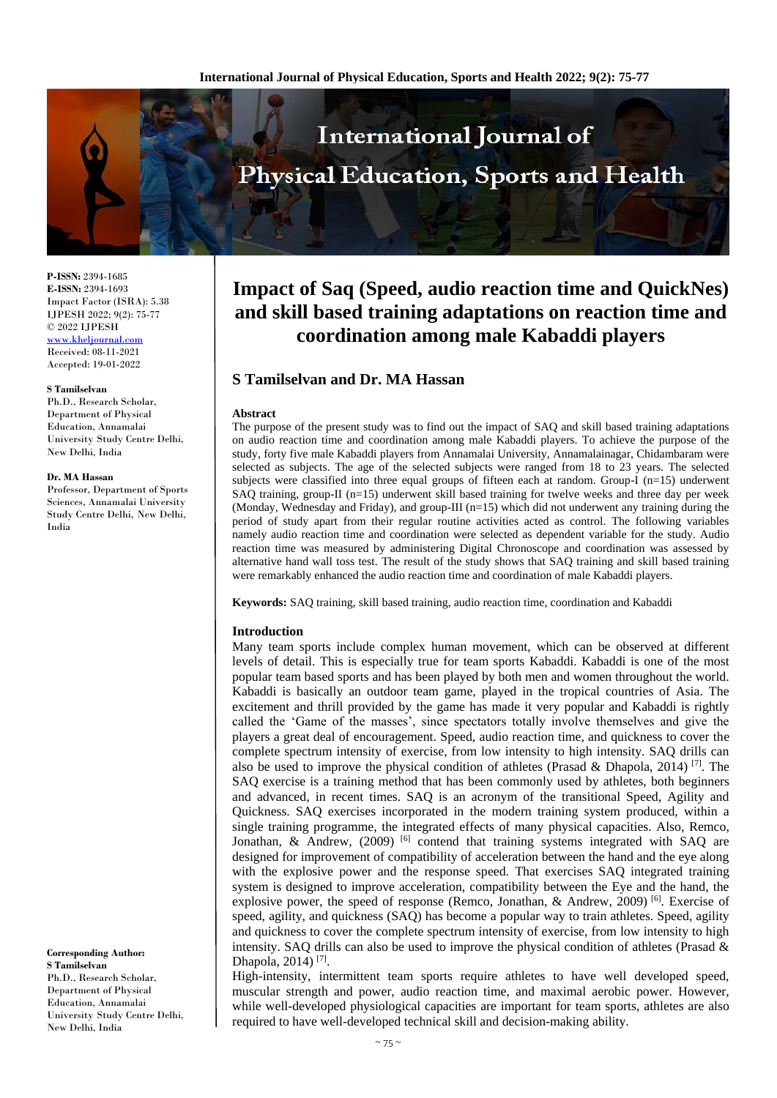

**P-ISSN:** 2394-1685 **E-ISSN:** 2394-1693 Impact Factor (ISRA): 5.38 IJPESH 2022; 9(2): 75-77 © 2022 IJPESH [www.kheljournal.com](http://www.kheljournal.com/)

Received: 08-11-2021 Accepted: 19-01-2022

#### **S Tamilselvan**

Ph.D., Research Scholar, Department of Physical Education, Annamalai University Study Centre Delhi, New Delhi, India

#### **Dr. MA Hassan**

Professor, Department of Sports Sciences, Annamalai University Study Centre Delhi, New Delhi, India

**Corresponding Author: S Tamilselvan**  Ph.D., Research Scholar, Department of Physical Education, Annamalai University Study Centre Delhi, New Delhi, India

# **Impact of Saq (Speed, audio reaction time and QuickNes) and skill based training adaptations on reaction time and coordination among male Kabaddi players**

# **S Tamilselvan and Dr. MA Hassan**

#### **Abstract**

The purpose of the present study was to find out the impact of SAQ and skill based training adaptations on audio reaction time and coordination among male Kabaddi players. To achieve the purpose of the study, forty five male Kabaddi players from Annamalai University, Annamalainagar, Chidambaram were selected as subjects. The age of the selected subjects were ranged from 18 to 23 years. The selected subjects were classified into three equal groups of fifteen each at random. Group-I (n=15) underwent SAQ training, group-II (n=15) underwent skill based training for twelve weeks and three day per week (Monday, Wednesday and Friday), and group-III (n=15) which did not underwent any training during the period of study apart from their regular routine activities acted as control. The following variables namely audio reaction time and coordination were selected as dependent variable for the study. Audio reaction time was measured by administering Digital Chronoscope and coordination was assessed by alternative hand wall toss test. The result of the study shows that SAQ training and skill based training were remarkably enhanced the audio reaction time and coordination of male Kabaddi players.

**Keywords:** SAQ training, skill based training, audio reaction time, coordination and Kabaddi

#### **Introduction**

Many team sports include complex human movement, which can be observed at different levels of detail. This is especially true for team sports Kabaddi. Kabaddi is one of the most popular team based sports and has been played by both men and women throughout the world. Kabaddi is basically an outdoor team game, played in the tropical countries of Asia. The excitement and thrill provided by the game has made it very popular and Kabaddi is rightly called the 'Game of the masses', since spectators totally involve themselves and give the players a great deal of encouragement. Speed, audio reaction time, and quickness to cover the complete spectrum intensity of exercise, from low intensity to high intensity. SAQ drills can also be used to improve the physical condition of athletes (Prasad & Dhapola, 2014)<sup>[7]</sup>. The SAQ exercise is a training method that has been commonly used by athletes, both beginners and advanced, in recent times. SAQ is an acronym of the transitional Speed, Agility and Quickness. SAQ exercises incorporated in the modern training system produced, within a single training programme, the integrated effects of many physical capacities. Also, Remco, Jonathan, & Andrew,  $(2009)$ <sup>[6]</sup> contend that training systems integrated with SAQ are designed for improvement of compatibility of acceleration between the hand and the eye along with the explosive power and the response speed. That exercises SAQ integrated training system is designed to improve acceleration, compatibility between the Eye and the hand, the explosive power, the speed of response (Remco, Jonathan, & Andrew, 2009)<sup>[6]</sup>. Exercise of speed, agility, and quickness (SAQ) has become a popular way to train athletes. Speed, agility and quickness to cover the complete spectrum intensity of exercise, from low intensity to high intensity. SAQ drills can also be used to improve the physical condition of athletes (Prasad  $\&$ Dhapola, 2014)<sup>[7]</sup>.

High-intensity, intermittent team sports require athletes to have well developed speed, muscular strength and power, audio reaction time, and maximal aerobic power. However, while well-developed physiological capacities are important for team sports, athletes are also required to have well-developed technical skill and decision-making ability.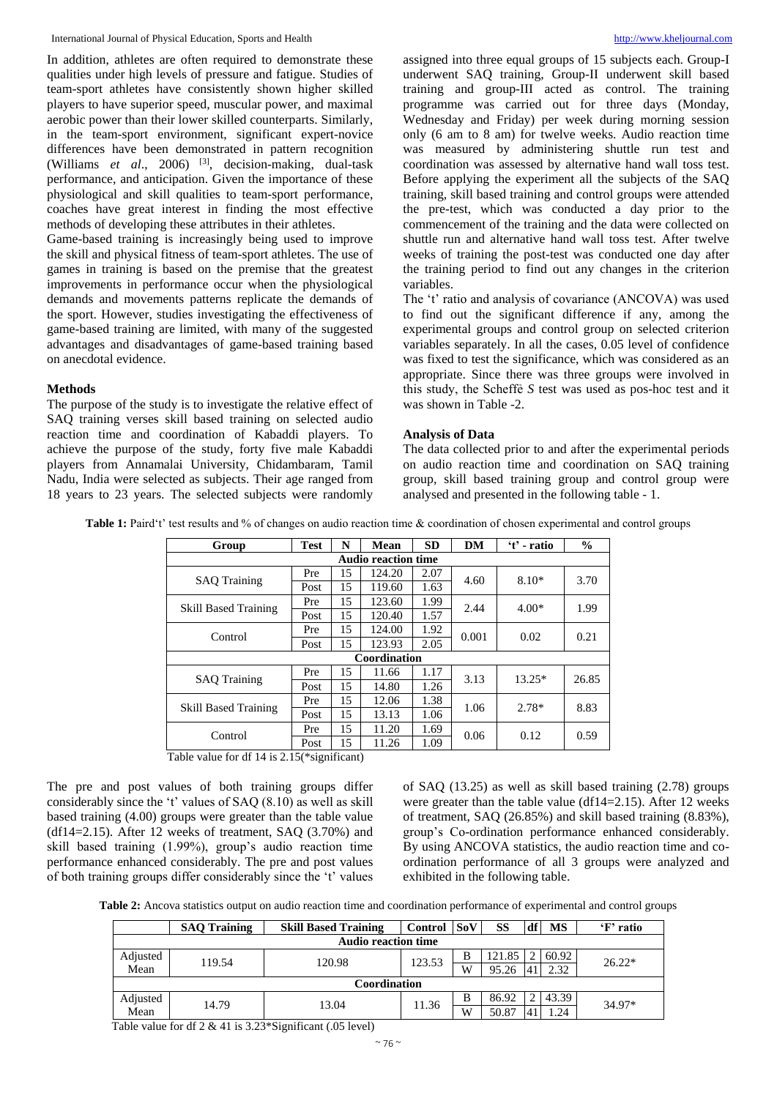In addition, athletes are often required to demonstrate these qualities under high levels of pressure and fatigue. Studies of team-sport athletes have consistently shown higher skilled players to have superior speed, muscular power, and maximal aerobic power than their lower skilled counterparts. Similarly, in the team-sport environment, significant expert-novice differences have been demonstrated in pattern recognition (Williams *et al*., 2006) [3] , decision-making, dual-task performance, and anticipation. Given the importance of these physiological and skill qualities to team-sport performance, coaches have great interest in finding the most effective methods of developing these attributes in their athletes.

Game-based training is increasingly being used to improve the skill and physical fitness of team-sport athletes. The use of games in training is based on the premise that the greatest improvements in performance occur when the physiological demands and movements patterns replicate the demands of the sport. However, studies investigating the effectiveness of game-based training are limited, with many of the suggested advantages and disadvantages of game-based training based on anecdotal evidence.

# **Methods**

The purpose of the study is to investigate the relative effect of SAQ training verses skill based training on selected audio reaction time and coordination of Kabaddi players. To achieve the purpose of the study, forty five male Kabaddi players from Annamalai University, Chidambaram, Tamil Nadu, India were selected as subjects. Their age ranged from 18 years to 23 years. The selected subjects were randomly assigned into three equal groups of 15 subjects each. Group-I underwent SAQ training, Group-II underwent skill based training and group-III acted as control. The training programme was carried out for three days (Monday, Wednesday and Friday) per week during morning session only (6 am to 8 am) for twelve weeks. Audio reaction time was measured by administering shuttle run test and coordination was assessed by alternative hand wall toss test. Before applying the experiment all the subjects of the SAQ training, skill based training and control groups were attended the pre-test, which was conducted a day prior to the commencement of the training and the data were collected on shuttle run and alternative hand wall toss test. After twelve weeks of training the post-test was conducted one day after the training period to find out any changes in the criterion variables.

The 't' ratio and analysis of covariance (ANCOVA) was used to find out the significant difference if any, among the experimental groups and control group on selected criterion variables separately. In all the cases, 0.05 level of confidence was fixed to test the significance, which was considered as an appropriate. Since there was three groups were involved in this study, the Scheffẻ *S* test was used as pos-hoc test and it was shown in Table -2.

# **Analysis of Data**

The data collected prior to and after the experimental periods on audio reaction time and coordination on SAQ training group, skill based training group and control group were analysed and presented in the following table - 1.

**Table 1:** Paird't' test results and % of changes on audio reaction time & coordination of chosen experimental and control groups

| Group                       | <b>Test</b> | N  | Mean   | <b>SD</b> | DM    | 't' - ratio | $\frac{6}{9}$ |  |
|-----------------------------|-------------|----|--------|-----------|-------|-------------|---------------|--|
| <b>Audio reaction time</b>  |             |    |        |           |       |             |               |  |
| <b>SAQ Training</b>         | Pre         | 15 | 124.20 | 2.07      | 4.60  | $8.10*$     | 3.70          |  |
|                             | Post        | 15 | 119.60 | 1.63      |       |             |               |  |
| <b>Skill Based Training</b> | Pre         | 15 | 123.60 | 1.99      | 2.44  | $4.00*$     | 1.99          |  |
|                             | Post        | 15 | 120.40 | 1.57      |       |             |               |  |
| Control                     | Pre         | 15 | 124.00 | 1.92      | 0.001 | 0.02        | 0.21          |  |
|                             | Post        | 15 | 123.93 | 2.05      |       |             |               |  |
| Coordination                |             |    |        |           |       |             |               |  |
| <b>SAO</b> Training         | Pre         | 15 | 11.66  | 1.17      | 3.13  | $13.25*$    | 26.85         |  |
|                             | Post        | 15 | 14.80  | 1.26      |       |             |               |  |
| <b>Skill Based Training</b> | Pre         | 15 | 12.06  | 1.38      | 1.06  | $2.78*$     | 8.83          |  |
|                             | Post        | 15 | 13.13  | 1.06      |       |             |               |  |
| Control                     | Pre         | 15 | 11.20  | 1.69      | 0.06  | 0.12        | 0.59          |  |
|                             | Post        | 15 | 11.26  | 1.09      |       |             |               |  |

Table value for df 14 is 2.15(\*significant)

The pre and post values of both training groups differ considerably since the 't' values of SAQ (8.10) as well as skill based training (4.00) groups were greater than the table value (df14=2.15). After 12 weeks of treatment, SAQ  $(3.70\%)$  and skill based training (1.99%), group's audio reaction time performance enhanced considerably. The pre and post values of both training groups differ considerably since the 't' values of SAQ (13.25) as well as skill based training (2.78) groups were greater than the table value (df14=2.15). After 12 weeks of treatment, SAQ (26.85%) and skill based training (8.83%), group's Co-ordination performance enhanced considerably. By using ANCOVA statistics, the audio reaction time and coordination performance of all 3 groups were analyzed and exhibited in the following table.

**Table 2:** Ancova statistics output on audio reaction time and coordination performance of experimental and control groups

|                            | <b>SAQ Training</b> | <b>Skill Based Training</b> | <b>Control</b> | <b>SoV</b> | SS             | df    | MS     | 'F' ratio |  |
|----------------------------|---------------------|-----------------------------|----------------|------------|----------------|-------|--------|-----------|--|
| <b>Audio reaction time</b> |                     |                             |                |            |                |       |        |           |  |
| Adjusted                   | 119.54<br>Mean      | 120.98                      | 123.53         | B          | 121.85         |       | 60.92  | $26.22*$  |  |
|                            |                     |                             |                | W          | 95.26          | 41    | 2.32   |           |  |
| Coordination               |                     |                             |                |            |                |       |        |           |  |
| Adjusted<br>14.79<br>Mean  | 13.04               | 11.36                       | B              | 86.92      |                | 43.39 | 34.97* |           |  |
|                            |                     |                             | W              | 50.87      | 4 <sup>1</sup> | 1.24  |        |           |  |

Table value for df 2 & 41 is 3.23\*Significant (.05 level)